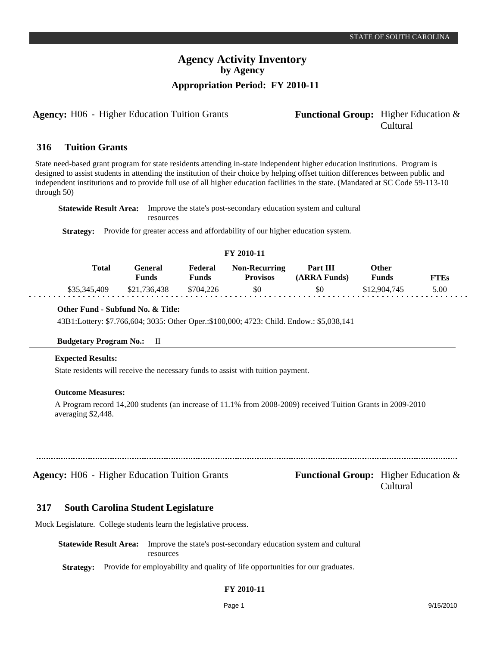# **Agency Activity Inventory by Agency Appropriation Period: FY 2010-11**

**Agency:** H06 - Higher Education Tuition Grants **- Functional Group:** Higher Education &

# Cultural

#### **Tuition Grants 316**

State need-based grant program for state residents attending in-state independent higher education institutions. Program is designed to assist students in attending the institution of their choice by helping offset tuition differences between public and independent institutions and to provide full use of all higher education facilities in the state. (Mandated at SC Code 59-113-10 through 50)

**Statewide Result Area:** Improve the state's post-secondary education system and cultural resources

**Strategy:** Provide for greater access and affordability of our higher education system.

#### **FY 2010-11**

| Total        | General<br><b>Funds</b> | Federal<br><b>Funds</b> | <b>Non-Recurring</b><br><b>Provisos</b> | Part III<br>(ARRA Funds) | Other<br><b>Funds</b> | <b>FTEs</b> |
|--------------|-------------------------|-------------------------|-----------------------------------------|--------------------------|-----------------------|-------------|
| \$35,345,409 | \$21.736.438            | \$704.226               | \$0                                     | \$0                      | \$12,904,745          | 5.00        |

### **Other Fund - Subfund No. & Title:**

43B1:Lottery: \$7.766,604; 3035: Other Oper.:\$100,000; 4723: Child. Endow.: \$5,038,141

#### **Budgetary Program No.:** II

### **Expected Results:**

dia dia dia 4

State residents will receive the necessary funds to assist with tuition payment.

#### **Outcome Measures:**

A Program record 14,200 students (an increase of 11.1% from 2008-2009) received Tuition Grants in 2009-2010 averaging \$2,448.

| <b>Agency:</b> H06 - Higher Education Tuition Grants | <b>Functional Group:</b> Higher Education $\&$ |
|------------------------------------------------------|------------------------------------------------|

Cultural

#### **South Carolina Student Legislature 317**

Mock Legislature. College students learn the legislative process.

**Statewide Result Area:** Improve the state's post-secondary education system and cultural resources

**Strategy:** Provide for employability and quality of life opportunities for our graduates.

## **FY 2010-11**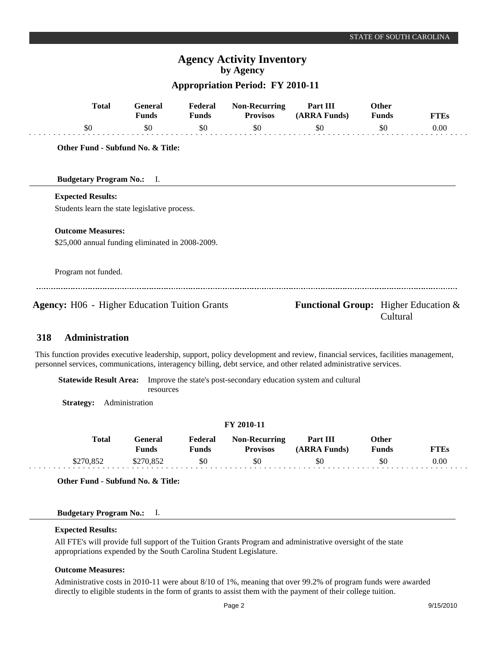# **Agency Activity Inventory by Agency**

## **Appropriation Period: FY 2010-11**

| <b>Total</b>                                         | <b>General</b><br><b>Funds</b>    | Federal<br><b>Funds</b> | <b>Non-Recurring</b><br><b>Provisos</b> | Part III<br>(ARRA Funds)                       | Other<br><b>Funds</b> | <b>FTEs</b> |
|------------------------------------------------------|-----------------------------------|-------------------------|-----------------------------------------|------------------------------------------------|-----------------------|-------------|
| \$0                                                  | \$0                               | \$0                     | \$0                                     | \$0                                            | \$0                   | 0.00        |
|                                                      | Other Fund - Subfund No. & Title: |                         |                                         |                                                |                       |             |
| <b>Budgetary Program No.:</b> I.                     |                                   |                         |                                         |                                                |                       |             |
| <b>Expected Results:</b>                             |                                   |                         |                                         |                                                |                       |             |
| Students learn the state legislative process.        |                                   |                         |                                         |                                                |                       |             |
| <b>Outcome Measures:</b>                             |                                   |                         |                                         |                                                |                       |             |
| \$25,000 annual funding eliminated in 2008-2009.     |                                   |                         |                                         |                                                |                       |             |
| Program not funded.                                  |                                   |                         |                                         |                                                |                       |             |
| <b>Agency:</b> H06 - Higher Education Tuition Grants |                                   |                         |                                         | <b>Functional Group:</b> Higher Education $\&$ | Cultural              |             |
| <b>Administration</b><br>318                         |                                   |                         |                                         |                                                |                       |             |

This function provides executive leadership, support, policy development and review, financial services, facilities management, personnel services, communications, interagency billing, debt service, and other related administrative services.

**Statewide Result Area:** Improve the state's post-secondary education system and cultural resources

**Strategy:** Administration

#### **FY 2010-11 General Funds**  \$270,852 **Other Funds** \$0 **Federal Funds**  \$0 **FTEs** 0.00 **Total**  \$270,852 **Non-Recurring Provisos** \$0 **Part III (ARRA Funds)** \$0

**Other Fund - Subfund No. & Title:**

## **Budgetary Program No.:** I.

### **Expected Results:**

All FTE's will provide full support of the Tuition Grants Program and administrative oversight of the state appropriations expended by the South Carolina Student Legislature.

#### **Outcome Measures:**

Administrative costs in 2010-11 were about 8/10 of 1%, meaning that over 99.2% of program funds were awarded directly to eligible students in the form of grants to assist them with the payment of their college tuition.